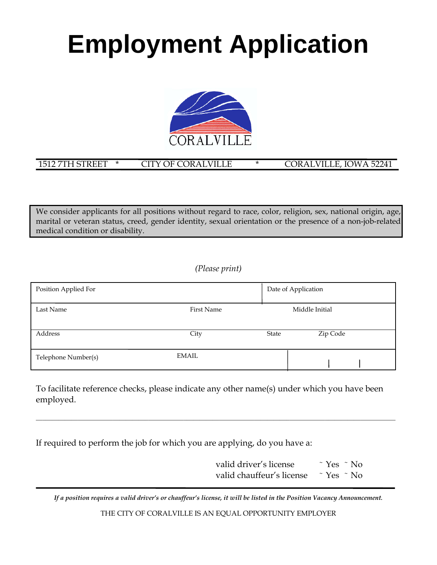# **Employment Application**



### 1512 7TH STREET \* CITY OF CORALVILLE \* CORALVILLE, IOWA 52241

We consider applicants for all positions without regard to race, color, religion, sex, national origin, age, marital or veteran status, creed, gender identity, sexual orientation or the presence of a non-job-related medical condition or disability.

*(Please print)* 

| Position Applied For |            | Date of Application |                |
|----------------------|------------|---------------------|----------------|
| Last Name            | First Name |                     | Middle Initial |
| Address              | City       | State               | Zip Code       |
| Telephone Number(s)  | EMAIL      |                     |                |

To facilitate reference checks, please indicate any other name(s) under which you have been employed.

\_\_\_\_\_\_\_\_\_\_\_\_\_\_\_\_\_\_\_\_\_\_\_\_\_\_\_\_\_\_\_\_\_\_\_\_\_\_\_\_\_\_\_\_\_\_\_\_\_\_\_\_\_\_\_\_\_\_\_\_\_\_\_\_\_\_\_\_\_\_\_\_\_\_\_\_\_\_\_\_\_\_\_\_\_\_\_\_\_\_\_\_\_\_\_\_\_\_\_\_\_\_\_\_\_\_\_\_\_\_\_\_

If required to perform the job for which you are applying, do you have a:

| valid driver's license    | $\tilde{\gamma}$ Yes $\tilde{\gamma}$ No |
|---------------------------|------------------------------------------|
| valid chauffeur's license | $\tilde{\gamma}$ Yes $\tilde{\gamma}$ No |

*If a position requires a valid driver's or chauffeur's license, it will be listed in the Position Vacancy Announcement.* 

THE CITY OF CORALVILLE IS AN EQUAL OPPORTUNITY EMPLOYER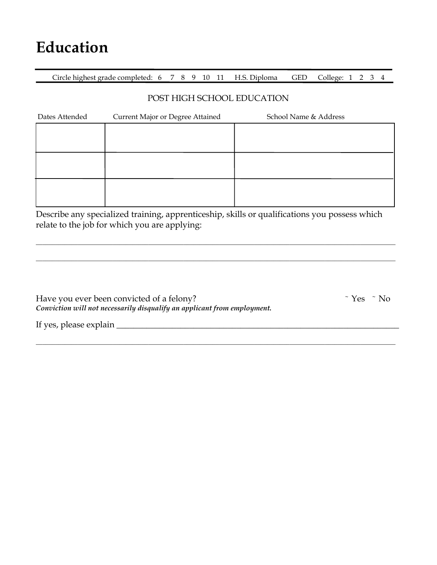### **Education**

Circle highest grade completed: 6 7 8 9 10 11 H.S. Diploma GED College: 1 2 3 4

#### POST HIGH SCHOOL EDUCATION

| Dates Attended | Current Major or Degree Attained | School Name & Address |
|----------------|----------------------------------|-----------------------|
|                |                                  |                       |
|                |                                  |                       |
|                |                                  |                       |
|                |                                  |                       |
|                |                                  |                       |
|                |                                  |                       |

Describe any specialized training, apprenticeship, skills or qualifications you possess which relate to the job for which you are applying:

\_\_\_\_\_\_\_\_\_\_\_\_\_\_\_\_\_\_\_\_\_\_\_\_\_\_\_\_\_\_\_\_\_\_\_\_\_\_\_\_\_\_\_\_\_\_\_\_\_\_\_\_\_\_\_\_\_\_\_\_\_\_\_\_\_\_\_\_\_\_\_\_\_\_\_\_\_\_\_\_\_\_\_\_\_\_\_\_\_\_\_\_\_\_\_\_\_\_\_\_\_\_\_\_\_\_\_\_\_\_\_\_

\_\_\_\_\_\_\_\_\_\_\_\_\_\_\_\_\_\_\_\_\_\_\_\_\_\_\_\_\_\_\_\_\_\_\_\_\_\_\_\_\_\_\_\_\_\_\_\_\_\_\_\_\_\_\_\_\_\_\_\_\_\_\_\_\_\_\_\_\_\_\_\_\_\_\_\_\_\_\_\_\_\_\_\_\_\_\_\_\_\_\_\_\_\_\_\_\_\_\_\_\_\_\_\_\_\_\_\_\_\_\_\_

\_\_\_\_\_\_\_\_\_\_\_\_\_\_\_\_\_\_\_\_\_\_\_\_\_\_\_\_\_\_\_\_\_\_\_\_\_\_\_\_\_\_\_\_\_\_\_\_\_\_\_\_\_\_\_\_\_\_\_\_\_\_\_\_\_\_\_\_\_\_\_\_\_\_\_\_\_\_\_\_\_\_\_\_\_\_\_\_\_\_\_\_\_\_\_\_\_\_\_\_\_\_\_\_\_\_\_\_\_\_\_\_

| Have you ever been convicted of a felony?                                |
|--------------------------------------------------------------------------|
| Conviction will not necessarily disqualify an applicant from employment. |

 $\tilde{\gamma}$  Yes  $\tilde{\gamma}$  No

If yes, please explain \_\_\_\_\_\_\_\_\_\_\_\_\_\_\_\_\_\_\_\_\_\_\_\_\_\_\_\_\_\_\_\_\_\_\_\_\_\_\_\_\_\_\_\_\_\_\_\_\_\_\_\_\_\_\_\_\_\_\_\_\_\_\_\_\_\_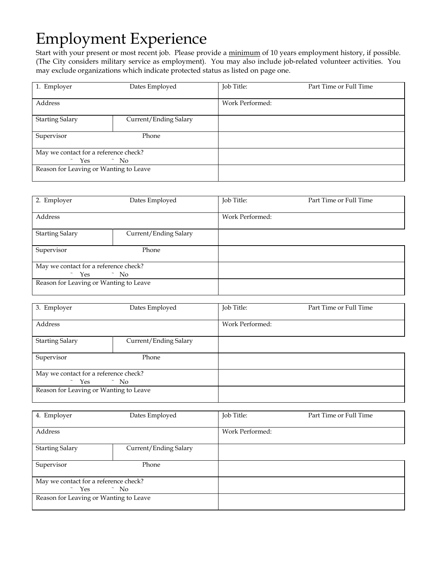### Employment Experience

Start with your present or most recent job. Please provide a minimum of 10 years employment history, if possible. (The City considers military service as employment). You may also include job-related volunteer activities. You may exclude organizations which indicate protected status as listed on page one.

| 1. Employer                                                                     | Dates Employed        | Job Title:      | Part Time or Full Time |
|---------------------------------------------------------------------------------|-----------------------|-----------------|------------------------|
| Address                                                                         |                       | Work Performed: |                        |
| <b>Starting Salary</b>                                                          | Current/Ending Salary |                 |                        |
| Supervisor                                                                      | Phone                 |                 |                        |
| May we contact for a reference check?<br>$\sim$ Yes<br>$\tilde{\phantom{a}}$ No |                       |                 |                        |
| Reason for Leaving or Wanting to Leave                                          |                       |                 |                        |

| 2. Employer                            | Dates Employed        | Job Title:      | Part Time or Full Time |
|----------------------------------------|-----------------------|-----------------|------------------------|
|                                        |                       |                 |                        |
| Address                                |                       | Work Performed: |                        |
| <b>Starting Salary</b>                 | Current/Ending Salary |                 |                        |
|                                        |                       |                 |                        |
| Supervisor                             | Phone                 |                 |                        |
|                                        |                       |                 |                        |
| May we contact for a reference check?  |                       |                 |                        |
| $\sim$ Yes<br>$\tilde{\phantom{a}}$ No |                       |                 |                        |
| Reason for Leaving or Wanting to Leave |                       |                 |                        |
|                                        |                       |                 |                        |

| 3. Employer                                                                     | Dates Employed        | Job Title:      | Part Time or Full Time |
|---------------------------------------------------------------------------------|-----------------------|-----------------|------------------------|
| Address                                                                         |                       | Work Performed: |                        |
| <b>Starting Salary</b>                                                          | Current/Ending Salary |                 |                        |
| Supervisor                                                                      | Phone                 |                 |                        |
| May we contact for a reference check?<br>$\sim$ Yes<br>$\tilde{\phantom{a}}$ No |                       |                 |                        |
| Reason for Leaving or Wanting to Leave                                          |                       |                 |                        |

| 4. Employer                                                                     | Dates Employed        | Job Title:      | Part Time or Full Time |
|---------------------------------------------------------------------------------|-----------------------|-----------------|------------------------|
| Address                                                                         |                       | Work Performed: |                        |
| <b>Starting Salary</b>                                                          | Current/Ending Salary |                 |                        |
| Supervisor                                                                      | Phone                 |                 |                        |
| May we contact for a reference check?<br>$\sim$ Yes<br>$\tilde{\phantom{a}}$ No |                       |                 |                        |
| Reason for Leaving or Wanting to Leave                                          |                       |                 |                        |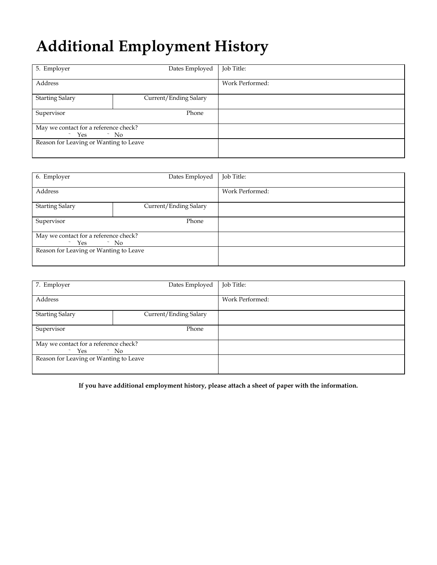## **Additional Employment History**

| 5. Employer                            | Dates Employed        | Job Title:      |
|----------------------------------------|-----------------------|-----------------|
|                                        |                       |                 |
| Address                                |                       | Work Performed: |
|                                        |                       |                 |
| <b>Starting Salary</b>                 | Current/Ending Salary |                 |
|                                        |                       |                 |
| Supervisor                             | Phone                 |                 |
|                                        |                       |                 |
| May we contact for a reference check?  |                       |                 |
| $\sim$ Yes<br>$\sim$ No                |                       |                 |
| Reason for Leaving or Wanting to Leave |                       |                 |
|                                        |                       |                 |
|                                        |                       |                 |

| 6. Employer                                                                     | Dates Employed        | Job Title:      |
|---------------------------------------------------------------------------------|-----------------------|-----------------|
| Address                                                                         |                       | Work Performed: |
| <b>Starting Salary</b>                                                          | Current/Ending Salary |                 |
| Supervisor                                                                      | Phone                 |                 |
| May we contact for a reference check?<br>$\sim$ Yes<br>$\tilde{\phantom{a}}$ No |                       |                 |
| Reason for Leaving or Wanting to Leave                                          |                       |                 |

| 7. Employer                                                      | Dates Employed        | Job Title:      |
|------------------------------------------------------------------|-----------------------|-----------------|
| Address                                                          |                       | Work Performed: |
| <b>Starting Salary</b>                                           | Current/Ending Salary |                 |
| Supervisor                                                       | Phone                 |                 |
| May we contact for a reference check?<br>$\sim$ Yes<br>$\sim$ No |                       |                 |
| Reason for Leaving or Wanting to Leave                           |                       |                 |
|                                                                  |                       |                 |

**If you have additional employment history, please attach a sheet of paper with the information.**